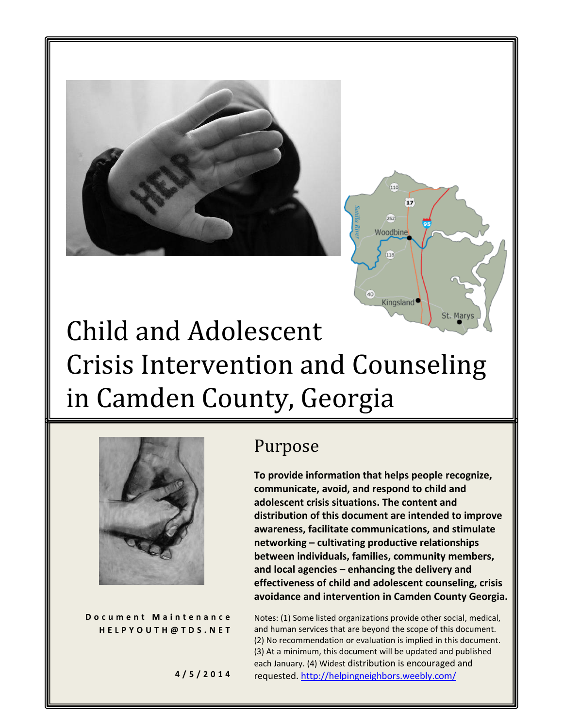



# Child and Adolescent Crisis Intervention and Counseling in Camden County, Georgia



**D o c u m e n t M a i n t e n a n c e H E L P Y O U T H @ T D S . N E T**

# Purpose

**To provide information that helps people recognize, communicate, avoid, and respond to child and adolescent crisis situations. The content and distribution of this document are intended to improve awareness, facilitate communications, and stimulate networking – cultivating productive relationships between individuals, families, community members, and local agencies – enhancing the delivery and effectiveness of child and adolescent counseling, crisis avoidance and intervention in Camden County Georgia.** 

Notes: (1) Some listed organizations provide other social, medical, and human services that are beyond the scope of this document. (2) No recommendation or evaluation is implied in this document. (3) At a minimum, this document will be updated and published each January. (4) Widest distribution is encouraged and requested. <http://helpingneighbors.weebly.com/>

**4 / 5 / 2 0 1 4**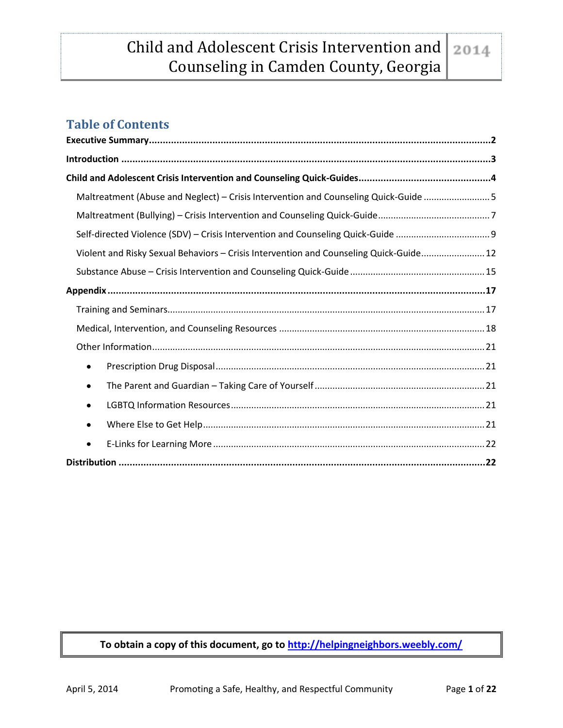# **Table of Contents**

| Maltreatment (Abuse and Neglect) - Crisis Intervention and Counseling Quick-Guide 5    |  |
|----------------------------------------------------------------------------------------|--|
|                                                                                        |  |
|                                                                                        |  |
| Violent and Risky Sexual Behaviors - Crisis Intervention and Counseling Quick-Guide 12 |  |
|                                                                                        |  |
|                                                                                        |  |
|                                                                                        |  |
|                                                                                        |  |
|                                                                                        |  |
| ٠                                                                                      |  |
| ٠                                                                                      |  |
| ٠                                                                                      |  |
| $\bullet$                                                                              |  |
| ٠                                                                                      |  |
|                                                                                        |  |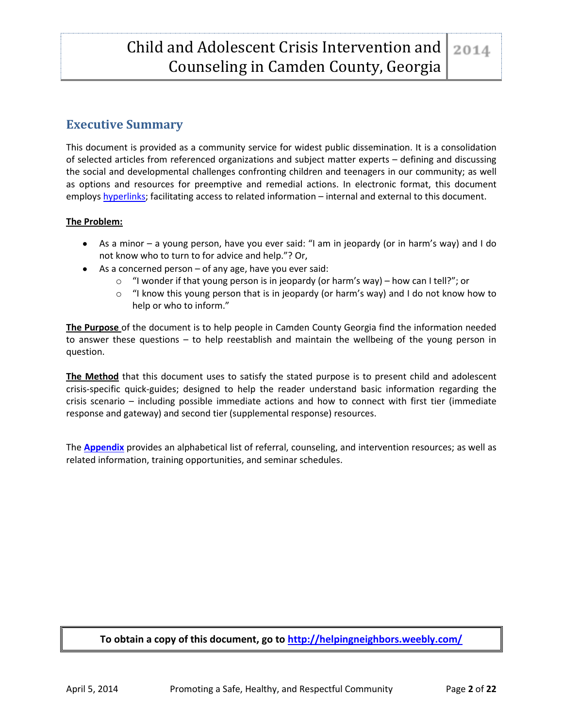# <span id="page-2-0"></span>**Executive Summary**

This document is provided as a community service for widest public dissemination. It is a consolidation of selected articles from referenced organizations and subject matter experts – defining and discussing the social and developmental challenges confronting children and teenagers in our community; as well as options and resources for preemptive and remedial actions. In electronic format, this document employs [hyperlinks;](http://www.techterms.com/definition/hyperlink) facilitating access to related information – internal and external to this document.

#### **The Problem:**

- As a minor a young person, have you ever said: "I am in jeopardy (or in harm's way) and I do not know who to turn to for advice and help."? Or,
- $\bullet$  As a concerned person of any age, have you ever said:
	- $\circ$  "I wonder if that young person is in jeopardy (or harm's way) how can I tell?"; or
	- $\circ$  "I know this young person that is in jeopardy (or harm's way) and I do not know how to help or who to inform."

**The Purpose** of the document is to help people in Camden County Georgia find the information needed to answer these questions – to help reestablish and maintain the wellbeing of the young person in question.

**The Method** that this document uses to satisfy the stated purpose is to present child and adolescent crisis-specific quick-guides; designed to help the reader understand basic information regarding the crisis scenario – including possible immediate actions and how to connect with first tier (immediate response and gateway) and second tier (supplemental response) resources.

The **[Appendix](#page-17-0)** provides an alphabetical list of referral, counseling, and intervention resources; as well as related information, training opportunities, and seminar schedules.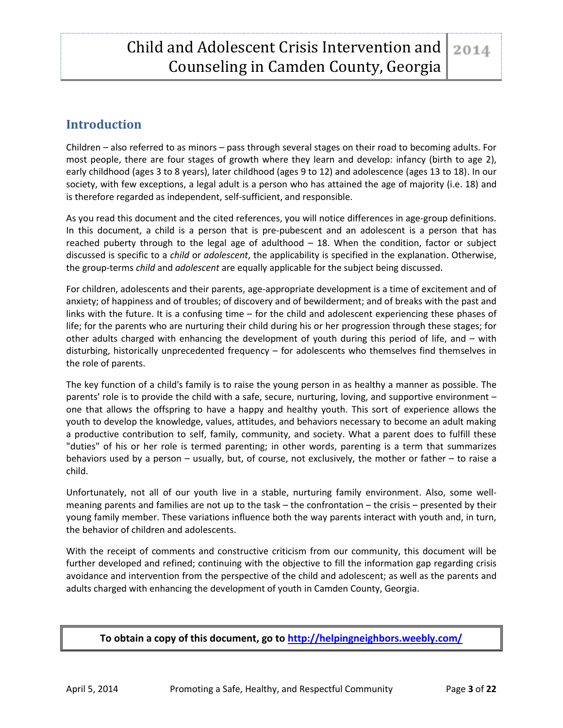# <span id="page-3-0"></span>**Introduction**

Children – also referred to as minors – pass through several stages on their road to becoming adults. For most people, there are four stages of growth where they learn and develop: infancy (birth to age 2), early childhood (ages 3 to 8 years), later childhood (ages 9 to 12) and adolescence (ages 13 to 18). In our society, with few exceptions, a legal adult is a person who has attained the age of majority (i.e. 18) and is therefore regarded as independent, self-sufficient, and responsible.

As you read this document and the cited references, you will notice differences in age-group definitions. In this document, a child is a person that is pre-pubescent and an adolescent is a person that has reached puberty through to the legal age of adulthood  $-18$ . When the condition, factor or subject discussed is specific to a *child* or *adolescent*, the applicability is specified in the explanation. Otherwise, the group-terms *child* and *adolescent* are equally applicable for the subject being discussed.

For children, adolescents and their parents, age-appropriate development is a time of excitement and of anxiety; of happiness and of troubles; of discovery and of bewilderment; and of breaks with the past and links with the future. It is a confusing time – for the child and adolescent experiencing these phases of life; for the parents who are nurturing their child during his or her progression through these stages; for other adults charged with enhancing the development of youth during this period of life, and – with disturbing, historically unprecedented frequency – for adolescents who themselves find themselves in the role of parents.

The key function of a child's family is to raise the young person in as healthy a manner as possible. The parents' role is to provide the child with a safe, secure, nurturing, loving, and supportive environment – one that allows the offspring to have a happy and healthy youth. This sort of experience allows the youth to develop the knowledge, values, attitudes, and behaviors necessary to become an adult making a productive contribution to self, family, community, and society. What a parent does to fulfill these "duties" of his or her role is termed parenting; in other words, parenting is a term that summarizes behaviors used by a person – usually, but, of course, not exclusively, the mother or father – to raise a child.

Unfortunately, not all of our youth live in a stable, nurturing family environment. Also, some wellmeaning parents and families are not up to the task – the confrontation – the crisis – presented by their young family member. These variations influence both the way parents interact with youth and, in turn, the behavior of children and adolescents.

With the receipt of comments and constructive criticism from our community, this document will be further developed and refined; continuing with the objective to fill the information gap regarding crisis avoidance and intervention from the perspective of the child and adolescent; as well as the parents and adults charged with enhancing the development of youth in Camden County, Georgia.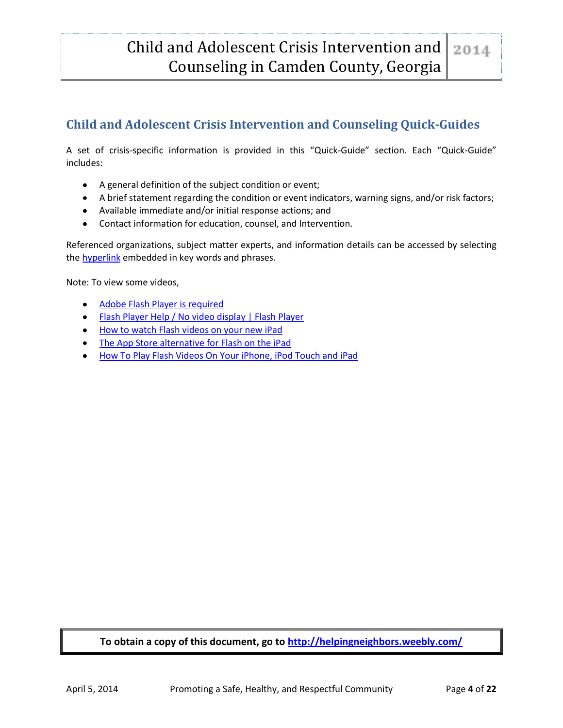# <span id="page-4-0"></span>**Child and Adolescent Crisis Intervention and Counseling Quick-Guides**

A set of crisis-specific information is provided in this "Quick-Guide" section. Each "Quick-Guide" includes:

- A general definition of the subject condition or event;
- A brief statement regarding the condition or event indicators, warning signs, and/or risk factors;
- Available immediate and/or initial response actions; and
- Contact information for education, counsel, and Intervention.

Referenced organizations, subject matter experts, and information details can be accessed by selecting the **hyperlink** embedded in key words and phrases.

Note: To view some videos,

- [Adobe Flash Player is required](http://get.adobe.com/flashplayer/)
- [Flash Player Help / No video display | Flash Player](http://helpx.adobe.com/flash-player/kb/no-video-display-flash-player.html)
- [How to watch Flash videos on your new iPad](http://www.imore.com/watch-adobe-flash-videos-ipad)
- [The App Store alternative for Flash on the iPad](http://www.imore.com/watch-adobe-flash-videos-ipad)
- [How To Play Flash Videos On Your iPhone, iPod Touch and iPad](http://www.guidingtech.com/16698/play-flash-videos-iphone-ipad-ipod-touch/)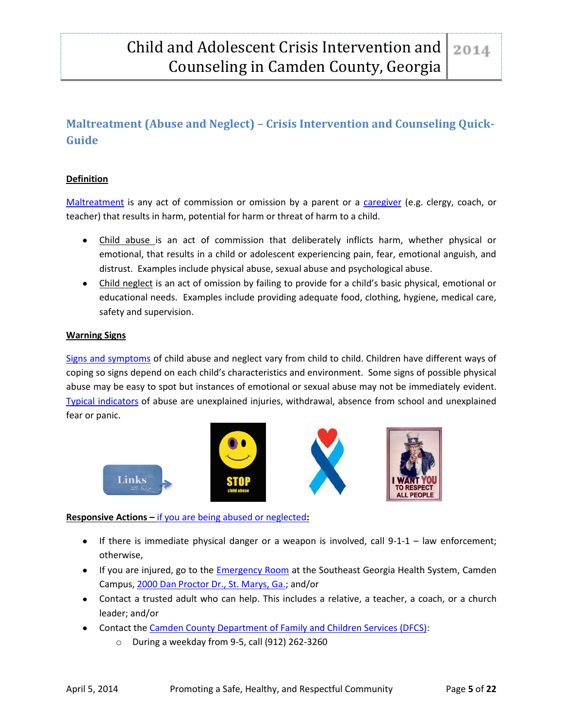# <span id="page-5-0"></span>**Maltreatment (Abuse and Neglect) – Crisis Intervention and Counseling Quick-Guide**

#### **Definition**

[Maltreatment](http://www.cdc.gov/violenceprevention/childmaltreatment/definitions.html) is any act of commission or omission by a parent or a [caregiver](https://www.ffcmh.org/sites/default/files/Glossary%20of%20Terms%20Child%20&%20Adolescent%20Mental%20Health.pdf) (e.g. clergy, coach, or teacher) that results in harm, potential for harm or threat of harm to a child.

- Child abuse is an act of commission that deliberately inflicts harm, whether physical or emotional, that results in a child or adolescent experiencing pain, fear, emotional anguish, and distrust. Examples include physical abuse, sexual abuse and psychological abuse.
- Child neglect is an act of omission by failing to provide for a child's basic physical, emotional or educational needs. Examples include providing adequate food, clothing, hygiene, medical care, safety and supervision.

#### **Warning Signs**

[Signs and symptoms](https://www.childwelfare.gov/pubs/usermanuals/childcare/chaptertwo.cfm) of child abuse and neglect vary from child to child. Children have different ways of coping so signs depend on each child's characteristics and environment. Some signs of possible physical abuse may be easy to spot but instances of emotional or sexual abuse may not be immediately evident. [Typical indicators](http://www.speakupbesafe.org/parents/warning-signs-of-abuse-and-neglect-for-parents.pdf) of abuse are unexplained injuries, withdrawal, absence from school and unexplained fear or panic.



#### **Responsive Actions –** [if you are being abused or neglected](http://kidshealth.org/kid/feeling/emotion/handle_abuse.html)**:**

- If there is immediate physical danger or a weapon is involved, call  $9-1-1 -$  law enforcement; otherwise,
- If you are injured, go to the **[Emergency Room](http://www.sghs.org/services/emergency-medicine/)** at the Southeast Georgia Health System, Camden Campus, [2000 Dan Proctor Dr., St. Marys, Ga.;](https://maps.google.com/maps?f=d&hl=en&geocode=&daddr=2000+Dan+Proctor+Dr.+St.+Marys+GA+31558&ie=UTF8&z=7) and/or
- Contact a trusted adult who can help. This includes a relative, a teacher, a coach, or a church leader; and/or
- Contact th[e Camden County Department of Family and Children Services \(DFCS\):](https://dfcs.dhs.georgia.gov/child-abuse-neglect)
	- o During a weekday from 9-5, call (912) 262-3260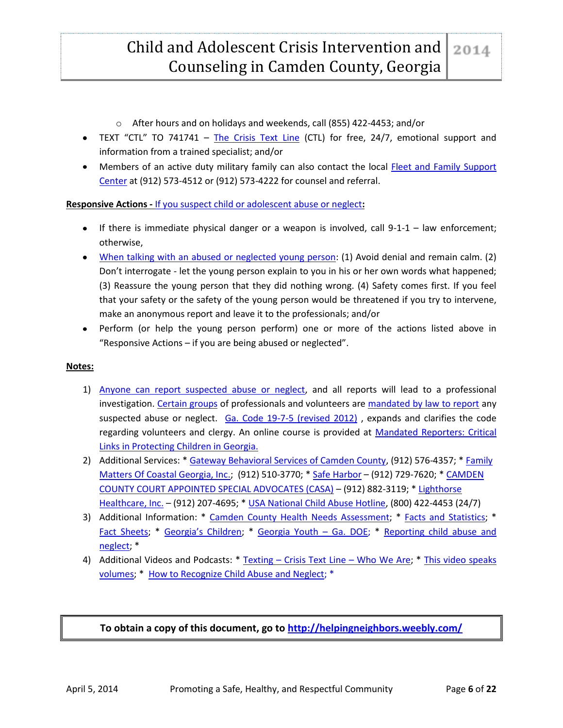- o After hours and on holidays and weekends, call (855) 422-4453; and/or
- TEXT "CTL" TO 741741 [The Crisis Text Line](http://www.crisistextline.org/) (CTL) for free, 24/7, emotional support and information from a trained specialist; and/or
- Members of an active duty military family can also contact the local [Fleet and Family Support](http://www.cnic.navy.mil/regions/cnrse/installations/navsubbase_kings_bay/ffr/support_services/counseling_and_assistance.html)  [Center](http://www.cnic.navy.mil/regions/cnrse/installations/navsubbase_kings_bay/ffr/support_services/counseling_and_assistance.html) at (912) 573-4512 or (912) 573-4222 for counsel and referral.

#### **Responsive Actions -** [If you suspect child or adolescent abuse or neglect](http://www.helpguide.org/mental/child_abuse_physical_emotional_sexual_neglect.htm)**:**

- If there is immediate physical danger or a weapon is involved, call  $9-1-1 -$  law enforcement; otherwise,
- [When talking with an abused or neglected young person:](http://www.helpguide.org/mental/child_abuse_physical_emotional_sexual_neglect.htm#helping) (1) Avoid denial and remain calm. (2) Don't interrogate - let the young person explain to you in his or her own words what happened; (3) Reassure the young person that they did nothing wrong. (4) Safety comes first. If you feel that your safety or the safety of the young person would be threatened if you try to intervene, make an anonymous report and leave it to the professionals; and/or
- Perform (or help the young person perform) one or more of the actions listed above in "Responsive Actions – if you are being abused or neglected".

#### **Notes:**

- 1) [Anyone can report suspected abuse or neglect,](http://dhs.georgia.gov/sites/dhs.georgia.gov/files/DFCS.CPS%205.12.pdf) and all reports will lead to a professional investigation. [Certain groups](http://www.georgialibraries.org/dir_mtg/12_2012/Mandatory-reporting-child-abuse-Nov-2012.pdf) of professionals and volunteers are [mandated by law to report](https://www.childwelfare.gov/pubs/usermanuals/childcare/chapterthree.cfm) any suspected abuse or neglect.  $Ga. Code 19-7-5$  (revised 2012), expands and clarifies the code regarding volunteers and clergy. An online course is provided at [Mandated Reporters: Critical](https://www.prosolutionstraining.com/hostedcourses/hostcode.cfm?hostid=18)  [Links in Protecting Children in Georgia.](https://www.prosolutionstraining.com/hostedcourses/hostcode.cfm?hostid=18)
- 2) Additional Services: \* [Gateway Behavioral Services of Camden County,](http://www.gatewaybhs.org/CountyCamden.htm) (912) 576-4357; [\\* Family](http://www.familymattersofcoastalga.org/)  [Matters Of Coastal Georgia, Inc.;](http://www.familymattersofcoastalga.org/) (912) 510-3770; \* [Safe Harbor](http://www.safeharborcenterinc.org/services/) – (912) 729-7620; [\\* CAMDEN](http://www.camdencountycasa.org/index.html)  [COUNTY COURT APPOINTED SPECIAL ADVOCATES \(CASA\)](http://www.camdencountycasa.org/index.html) – (912) 882-3119; \* [Lighthorse](http://www.lighthorse.org/service/behavioral-healthcare/)  [Healthcare, Inc.](http://www.lighthorse.org/service/behavioral-healthcare/) – (912) 207-4695; \* [USA National Child Abuse Hotline,](http://www.childhelp.org/pages/hotline-home) (800) 422-4453 (24/7)
- 3) Additional Information: \* [Camden County Health Needs Assessment;](http://www.camdenfamilies.org/what_we_do/studies.html) \* [Facts and Statistics;](http://georgiacenterforchildadvocacy.org/facts-and-statistics/) \* [Fact Sheets;](http://children.georgia.gov/fact-sheets) \* Geo[rgia's Children](http://www.cwla.org/advocacy/statefactsheets/2012/georgia.pdf); \* [Georgia Youth](http://www.gadoe.org/Curriculum-Instruction-and-Assessment/Curriculum-and-Instruction/Documents/SAFE%20AND%20DRUGFREE/Training%20Manual_v2_10-24-12.pdf) – Ga. DOE; \* [Reporting child abuse and](http://www.helpguide.org/mental/child_abuse_physical_emotional_sexual_neglect.htm#reporting)  [neglect;](http://www.helpguide.org/mental/child_abuse_physical_emotional_sexual_neglect.htm#reporting) \*
- 4) Additional Videos and Podcasts: \* Texting Crisis Text Line [Who We Are;](http://www.crisistextline.org/who-we-are?) \* This video speaks [volumes;](http://childabusesayno.wordpress.com/) \* [How to Recognize Child Abuse and Neglect;](http://www.youtube.com/watch?v=kmrzBqYiSYE&feature=player_embedded) \*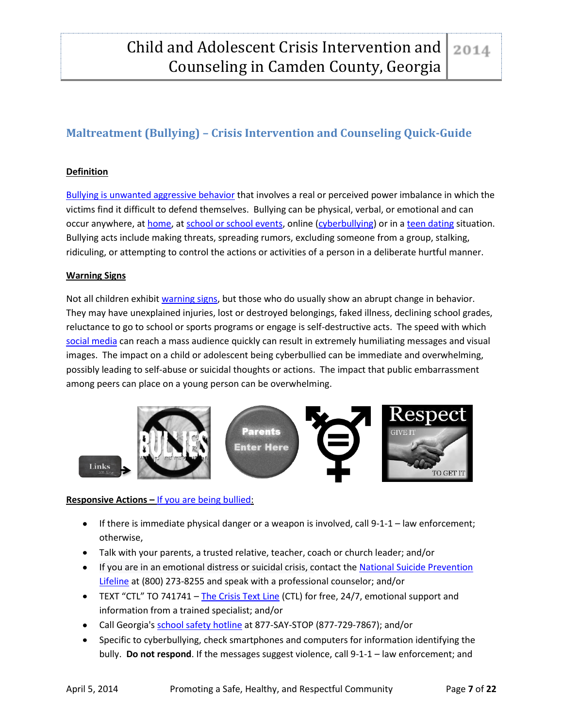# <span id="page-7-0"></span>**Maltreatment (Bullying) – Crisis Intervention and Counseling Quick-Guide**

#### **Definition**

[Bullying is unwanted aggressive behavior](http://www.stopbullying.gov/what-is-bullying/definition/index.html) that involves a real or perceived power imbalance in which the victims find it difficult to defend themselves. Bullying can be physical, verbal, or emotional and can occur anywhere, at [home,](http://www.befrienders.org/bullying-at-home) at [school or school events,](http://www.stopbullying.gov/prevention/at-school/index.html) online [\(cyberbullying\)](http://www.stopbullying.gov/cyberbullying/what-is-it/index.html) or in [a teen dating](http://www.education.com/reference/article/bullying-sexual-harassment-dating/) situation. Bullying acts include making threats, spreading rumors, excluding someone from a group, stalking, ridiculing, or attempting to control the actions or activities of a person in a deliberate hurtful manner.

#### **Warning Signs**

Not all children exhibi[t warning signs,](http://www.violencepreventionworks.org/public/bullying_warning_signs.page) but those who do usually show an abrupt change in behavior. They may have unexplained injuries, lost or destroyed belongings, faked illness, declining school grades, reluctance to go to school or sports programs or engage is self-destructive acts. The speed with which [social media](http://www.internetsafety101.org/socialmedia.htm) can reach a mass audience quickly can result in extremely humiliating messages and visual images. The impact on a child or adolescent being cyberbullied can be immediate and overwhelming, possibly leading to self-abuse or suicidal thoughts or actions. The impact that public embarrassment among peers can place on a young person can be overwhelming.



#### **Responsive Actions –** If you [are being bullied:](http://www.wikihow.com/Tell-Someone-You)

- If there is immediate physical danger or a weapon is involved, call  $9-1-1$  law enforcement; otherwise,
- Talk with your parents, a trusted relative, teacher, coach or church leader; and/or
- If you are in an emotional distress or suicidal crisis, contact the National Suicide Prevention [Lifeline](http://www.suicidepreventionlifeline.org/learn/bullying.aspx) at (800) 273-8255 and speak with a professional counselor; and/or
- TEXT "CTL" TO 741741 [The Crisis Text Line](http://www.crisistextline.org/) (CTL) for free, 24/7, emotional support and information from a trained specialist; and/or
- Call Georgia's [school safety hotline](http://www.gadoe.org/External-Affairs-and-Policy/AskDOE/Pages/School-Safety-Hotline.aspx) at 877-SAY-STOP (877-729-7867); and/or
- Specific to cyberbullying, check smartphones and computers for information identifying the bully. **Do not respond**. If the messages suggest violence, call 9-1-1 – law enforcement; and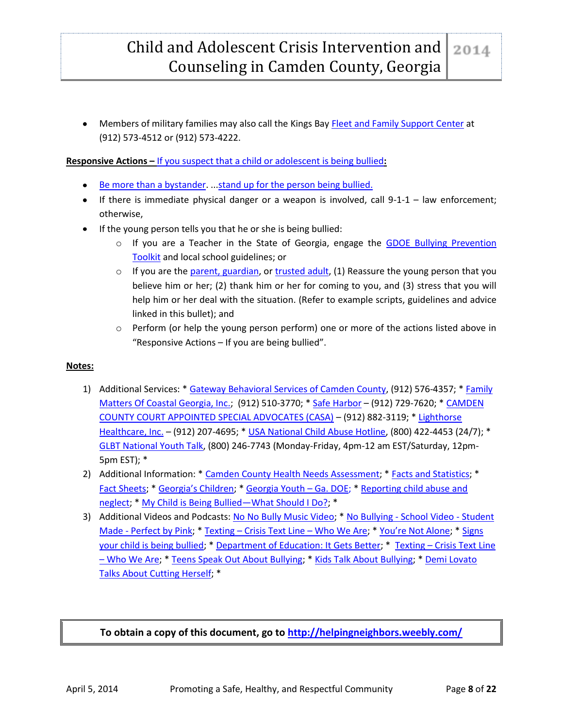**Members of military families may also call the Kings Bay [Fleet and Family Support Center](http://www.cnic.navy.mil/regions/cnrse/installations/navsubbase_kings_bay/ffr/support_services/counseling_and_assistance.html) at 4** (912) 573-4512 or (912) 573-4222.

**Responsive Actions –** [If you suspect that a child or adolescent is being bullied](http://www.parentingideas.com.au/Parents/Bullying/I-think-my-child-is-being-bullied--What-now-)**:**

- [Be more than a bystander.](http://www.stopbullying.gov/videos/2013/04/be-more-than-bystander.html) ... stand up for the person being bullied.
- If there is immediate physical danger or a weapon is involved, call 9-1-1 law enforcement; otherwise,
- If the young person tells you that he or she is being bullied:
	- o If you are a Teacher in the State of Georgia, engage the GDOE Bullying Prevention [Toolkit](https://www.gadoe.org/Curriculum-Instruction-and-Assessment/Curriculum-and-Instruction/Pages/Bullying-Prevention-Toolkit.aspx) and local school guidelines; or
	- $\circ$  If you are the [parent, guardian,](https://www.preventchildabusenc.org/assets/preventchildabusenc/files/$cms$/100/1077.pdf) or [trusted adult,](http://www.youtube.com/watch?v=AVK_v9CD5h8) (1) Reassure the young person that you believe him or her; (2) thank him or her for coming to you, and (3) stress that you will help him or her deal with the situation. (Refer to example scripts, guidelines and advice linked in this bullet); and
	- o Perform (or help the young person perform) one or more of the actions listed above in "Responsive Actions – If you are being bullied".

#### **Notes:**

- 1) Additional Services: \* [Gateway Behavioral Services of Camden County,](http://www.gatewaybhs.org/CountyCamden.htm) (912) 576-4357; \* Family [Matters Of Coastal Georgia, Inc.;](http://www.familymattersofcoastalga.org/) (912) 510-3770; \* [Safe Harbor](http://www.safeharborcenterinc.org/services/) – (912) 729-7620; \* CAMDEN [COUNTY COURT APPOINTED SPECIAL ADVOCATES \(CASA\)](http://www.camdencountycasa.org/index.html) – (912) 882-3119; \* [Lighthorse](http://www.lighthorse.org/service/behavioral-healthcare/)  [Healthcare, Inc.](http://www.lighthorse.org/service/behavioral-healthcare/) – (912) 207-4695; \* [USA National Child Abuse Hotline,](http://www.childhelp.org/pages/hotline-home) (800) 422-4453 (24/7); \* [GLBT National Youth Talk,](http://www.glnh.org/talkline/) (800) 246-7743 (Monday-Friday, 4pm-12 am EST/Saturday, 12pm-5pm EST); \*
- 2) Additional Information: \* [Camden County Health Needs Assessment;](http://www.camdenfamilies.org/what_we_do/studies.html) \* [Facts and Statistics;](http://georgiacenterforchildadvocacy.org/facts-and-statistics/) \* [Fact Sheets;](http://children.georgia.gov/fact-sheets) \* [Georgia's Children](http://www.cwla.org/advocacy/statefactsheets/2012/georgia.pdf); \* [Georgia Youth](http://www.gadoe.org/Curriculum-Instruction-and-Assessment/Curriculum-and-Instruction/Documents/SAFE%20AND%20DRUGFREE/Training%20Manual_v2_10-24-12.pdf) – Ga. DOE; [\\* Reporting child abuse and](http://www.helpguide.org/mental/child_abuse_physical_emotional_sexual_neglect.htm#reporting)  [neglect;](http://www.helpguide.org/mental/child_abuse_physical_emotional_sexual_neglect.htm#reporting) \* [My Child is Being Bullied](http://www.empoweringparents.com/My-Child-is-Being-Bullied.php)—What Should I Do?; \*
- 3) Additional Videos and Podcasts: [No No Bully Music Video;](http://www.youtube.com/watch?v=70Uy7d4b-HY) \* No Bullying [School Video -](http://www.youtube.com/watch?v=V_cX_VEWmcg) Student Made - [Perfect by Pink;](http://www.youtube.com/watch?v=V_cX_VEWmcg) \* Texting – [Crisis Text Line](http://www.crisistextline.org/who-we-are?) – Who We Are; \* [You're Not Alone](http://www.pacer.org/bullying/video/?gclid=CPmix7aY_rwCFcZZ7Aod3yIAJg); \* Signs [your child is being bullied;](http://www.greatschools.org/parenting/bullying/4217-How-to-know-if-you-child-is-being-bullied-video.gs) \* [Department of Education: It Gets Better;](http://www.stopbullying.gov/videos/2013/06/it-gets-better.html) \* Texting – [Crisis Text Line](http://www.crisistextline.org/who-we-are?)  – [Who We Are;](http://www.crisistextline.org/who-we-are?) \* [Teens Speak Out About Bullying;](http://www.kidpower.org/library/videos/walk-in-anothers-shoes/) \* [Kids Talk About Bullying;](http://kidshealth.org/parent/videos/kids-talk-bullying.html?tracking=P_RelatedArticle) \* [Demi Lovato](http://www.youtube.com/watch?v=RVq-sLFu6M4)  [Talks About Cutting Herself;](http://www.youtube.com/watch?v=RVq-sLFu6M4) \*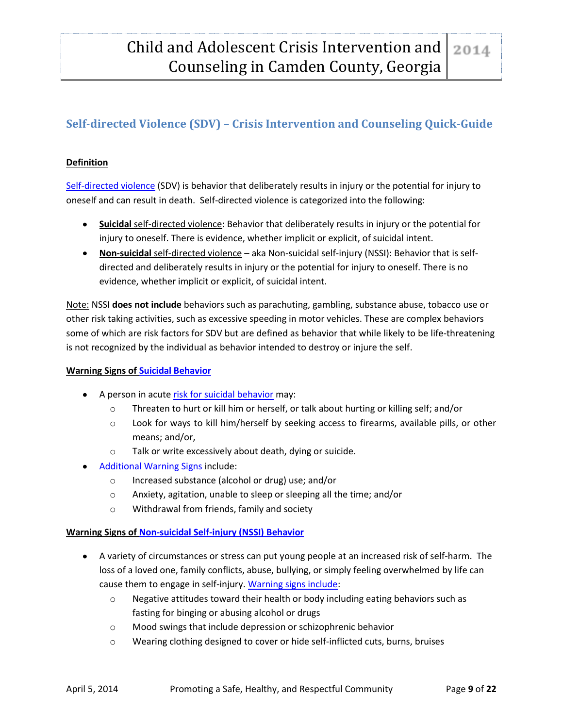# <span id="page-9-0"></span>**Self-directed Violence (SDV) – Crisis Intervention and Counseling Quick-Guide**

#### **Definition**

[Self-directed violence](http://www.cdc.gov/violenceprevention/pdf/self-directed-violence-a.pdf) (SDV) is behavior that deliberately results in injury or the potential for injury to oneself and can result in death. Self-directed violence is categorized into the following:

- **Suicidal** self-directed violence: Behavior that deliberately results in injury or the potential for injury to oneself. There is evidence, whether implicit or explicit, of suicidal intent.
- **Non-suicidal** self-directed violence aka Non-suicidal self-injury (NSSI): Behavior that is selfdirected and deliberately results in injury or the potential for injury to oneself. There is no evidence, whether implicit or explicit, of suicidal intent.

Note: NSSI **does not include** behaviors such as parachuting, gambling, substance abuse, tobacco use or other risk taking activities, such as excessive speeding in motor vehicles. These are complex behaviors some of which are risk factors for SDV but are defined as behavior that while likely to be life-threatening is not recognized by the individual as behavior intended to destroy or injure the self.

#### **Warning Signs of [Suicidal Behavior](http://www.sprc.org/basics/about-suicide)**

- A person in acut[e risk for suicidal behavior](http://www.webmd.com/mental-health/recognizing-suicidal-behavior) may:
	- o Threaten to hurt or kill him or herself, or talk about hurting or killing self; and/or
	- o Look for ways to kill him/herself by seeking access to firearms, available pills, or other means; and/or,
	- o Talk or write excessively about death, dying or suicide.
- [Additional Warning Signs](http://www.webmd.com/depression/guide/depression-recognizing-signs-of-suicide) include:
	- o Increased substance (alcohol or drug) use; and/or
	- o Anxiety, agitation, unable to sleep or sleeping all the time; and/or
	- o Withdrawal from friends, family and society

#### **Warning Signs of [Non-suicidal Self-injury \(NSSI\) Behavior](http://www.jabfm.org/content/23/2/240.full)**

- A variety of circumstances or stress can put young people at an increased risk of self-harm. The loss of a loved one, family conflicts, abuse, bullying, or simply feeling overwhelmed by life can cause them to engage in self-injury[. Warning signs include:](http://socialworkpodcast.blogspot.com/2012/08/non-suicidal-self-injury-nssi-interview.html)
	- o Negative attitudes toward their health or body including eating behaviors such as fasting for binging or abusing alcohol or drugs
	- o Mood swings that include depression or schizophrenic behavior
	- o Wearing clothing designed to cover or hide self-inflicted cuts, burns, bruises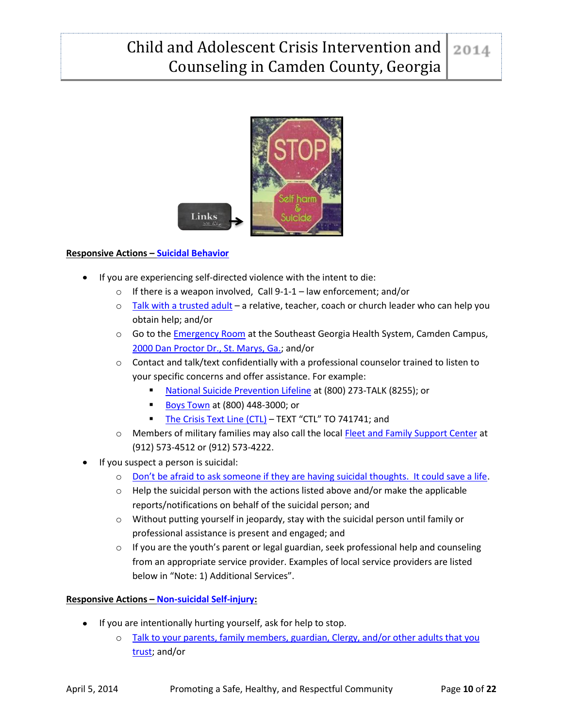

#### **Responsive Actions – [Suicidal Behavior](http://dbhdd.georgia.gov/sites/dbhdd.georgia.gov/files/imported/DBHDD/Individuals/Suicide_Prevention/GeorgiaSuicidePreventionPlan.pdf)**

- If you are experiencing self-directed violence with the intent to die:
	- $\circ$  If there is a weapon involved, Call 9-1-1 law enforcement; and/or
	- $\circ$  [Talk with a trusted adult](http://www.helpguide.org/mental/suicide_prevention.htm) a relative, teacher, coach or church leader who can help you obtain help; and/or
	- o Go to th[e Emergency Room](http://www.sghs.org/services/emergency-medicine/) at the Southeast Georgia Health System, Camden Campus, [2000 Dan Proctor Dr., St. Marys, Ga.;](https://maps.google.com/maps?f=d&hl=en&geocode=&daddr=2000+Dan+Proctor+Dr.+St.+Marys+GA+31558&ie=UTF8&z=7) and/or
	- $\circ$  Contact and talk/text confidentially with a professional counselor trained to listen to your specific concerns and offer assistance. For example:
		- [National Suicide Prevention Lifeline](http://www.suicidepreventionlifeline.org/) at (800) 273-TALK (8255); or
		- [Boys Town](http://www.boystown.org/) at (800) 448-3000; or
		- [The Crisis Text Line \(CTL\)](http://www.crisistextline.org/) TEXT "CTL" TO 741741; and
	- o Members of military families may also call the local [Fleet and Family Support Center](http://www.cnic.navy.mil/regions/cnrse/installations/navsubbase_kings_bay/ffr/support_services/counseling_and_assistance.html) at (912) 573-4512 or (912) 573-4222.
- If you suspect a person is suicidal:
	- o [Don't be afraid to ask someone if they are having suicidal thoughts. It could save a life](http://www.helpguide.org/mental/suicide_prevention.htm).
	- $\circ$  Help the suicidal person with the actions listed above and/or make the applicable reports/notifications on behalf of the suicidal person; and
	- o Without putting yourself in jeopardy, stay with the suicidal person until family or professional assistance is present and engaged; and
	- $\circ$  If you are the youth's parent or legal guardian, seek professional help and counseling from an appropriate service provider. Examples of local service providers are listed below in "Note: 1) Additional Services".

#### **Responsive Actions – [Non-suicidal Self-injury:](http://www.huffingtonpost.com/peggy-andover-phd/self-harm_b_1613574.html)**

- If you are intentionally hurting yourself, ask for help to stop.
	- o [Talk to your parents, family members, guardian, Clergy, and/or other adults that you](http://www.helpguide.org/mental/suicide_prevention.htm)  [trust;](http://www.helpguide.org/mental/suicide_prevention.htm) and/or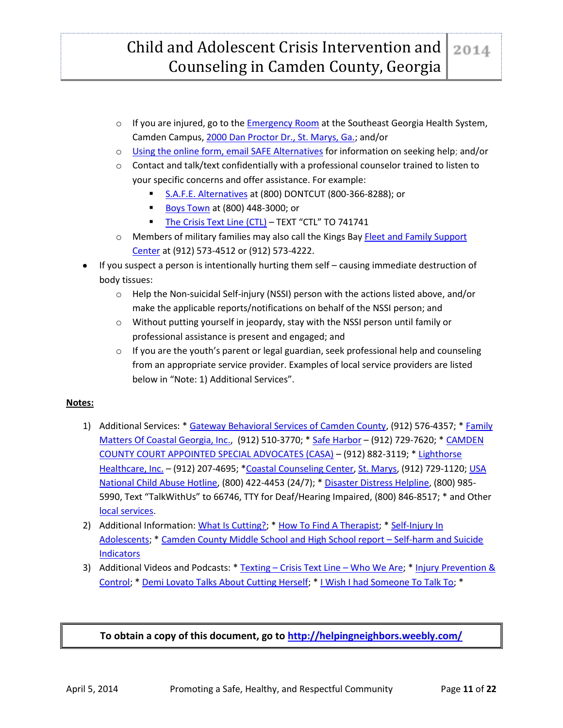#### Child and Adolescent Crisis Intervention and 2014 Counseling in Camden County, Georgia

- $\circ$  If you are injured, go to th[e Emergency Room](http://www.sghs.org/services/emergency-medicine/) at the Southeast Georgia Health System, Camden Campus[, 2000 Dan Proctor Dr., St. Marys, Ga.;](https://maps.google.com/maps?f=d&hl=en&geocode=&daddr=2000+Dan+Proctor+Dr.+St.+Marys+GA+31558&ie=UTF8&z=7) and/or
- o [Using the online form, email SAFE Alternatives](http://www.selfinjury.com/contact/) for information on seeking help; and/or
- $\circ$  Contact and talk/text confidentially with a professional counselor trained to listen to your specific concerns and offer assistance. For example:
	- [S.A.F.E. Alternatives](http://www.selfinjury.com/) at (800) DONTCUT (800-366-8288); or
	- [Boys Town](http://www.boystown.org/) at (800) 448-3000; or
	- [The Crisis Text Line \(CTL\)](http://www.crisistextline.org/) TEXT "CTL" TO 741741
- o Members of military families may also call the Kings Bay [Fleet and Family Support](http://www.cnic.navy.mil/regions/cnrse/installations/navsubbase_kings_bay/ffr/support_services/counseling_and_assistance.html)  [Center](http://www.cnic.navy.mil/regions/cnrse/installations/navsubbase_kings_bay/ffr/support_services/counseling_and_assistance.html) at (912) 573-4512 or (912) 573-4222.
- If you suspect a person is intentionally hurting them self causing immediate destruction of body tissues:
	- o Help the Non-suicidal Self-injury (NSSI) person with the actions listed above, and/or make the applicable reports/notifications on behalf of the NSSI person; and
	- o Without putting yourself in jeopardy, stay with the NSSI person until family or professional assistance is present and engaged; and
	- $\circ$  If you are the youth's parent or legal guardian, seek professional help and counseling from an appropriate service provider. Examples of local service providers are listed below in "Note: 1) Additional Services".

#### **Notes:**

- 1) Additional Services: \* [Gateway Behavioral Services of Camden County,](http://www.gatewaybhs.org/CountyCamden.htm) (912) 576-4357; [\\* Family](http://www.familymattersofcoastalga.org/)  [Matters Of Coastal Georgia, Inc.,](http://www.familymattersofcoastalga.org/) (912) 510-3770; \* [Safe Harbor](http://www.safeharborcenterinc.org/services/) - (912) 729-7620; \* CAMDEN [COUNTY COURT APPOINTED SPECIAL ADVOCATES \(CASA\)](http://www.camdencountycasa.org/index.html) – (912) 882-3119; \* [Lighthorse](http://www.lighthorse.org/service/behavioral-healthcare/)  [Healthcare, Inc.](http://www.lighthorse.org/service/behavioral-healthcare/) – (912) 207-4695; [\\*Coastal Counseling Center,](http://www.coastalcounselingcenter.org/) [St. Marys,](https://maps.google.com/maps?q=104+Lakeshore+Drive,+St+Marys,+Georgia&ie=UTF-8&hq=&hnear=0x88e5028b392029c7:0xab0dbe6b4b1fb5e7,Lakeshore+Dr,+St+Marys,+GA+31558&gl=us&ei=2-AYU67FLOjg0gHHvYHQDg&ved=0CCQQ8gEwAA) (912) 729-1120; [USA](http://www.childhelp.org/pages/hotline-home)  [National Child Abuse Hotline,](http://www.childhelp.org/pages/hotline-home) (800) 422-4453 (24/7); \* [Disaster Distress Helpline,](http://disasterdistress.samhsa.gov/) (800) 985- 5990, Text "TalkWithUs" to 66746, TTY for Deaf/Hearing Impaired, (800) 846-8517; \* and Other [local services.](http://therapists.psychologytoday.com/rms/county/GA/Camden.html)
- 2) Additional Information: [What Is Cutting?;](http://kidshealth.org/teen/your_mind/mental_health/cutting.html) \* [How To Find A Therapist;](http://www.selfinjury.com/referrals/find/) \* Self-Injury In [Adolescents;](http://www.aacap.org/AACAP/Families_and_Youth/Facts_for_Families/Facts_for_Families_Pages/Self_Injury_In_Adolescents_73.aspx) [\\* Camden County Middle School and High School report](http://www.camdenfamilies.org/what_we_do/studies.html) – Self-harm and Suicide **[Indicators](http://www.camdenfamilies.org/what_we_do/studies.html)**
- 3) Additional Videos and Podcasts: \* Texting [Crisis Text Line](http://www.crisistextline.org/who-we-are?)  Who We Are; [\\* Injury Prevention &](http://www.cdc.gov/violenceprevention/socialmedia/podcast.html)  [Control;](http://www.cdc.gov/violenceprevention/socialmedia/podcast.html) [\\* Demi Lovato Talks About Cutting Herself;](http://www.youtube.com/watch?v=RVq-sLFu6M4) \* [I Wish I had Someone To Talk To;](http://www.boystown.org/hotline/videos) \*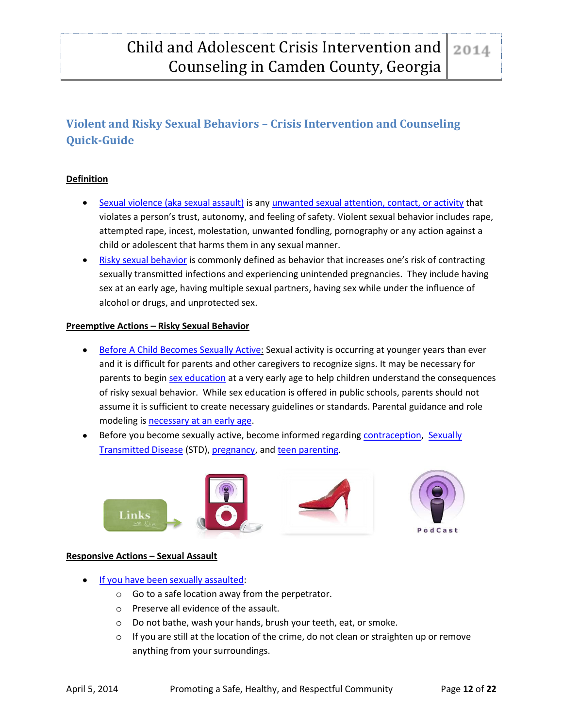# <span id="page-12-0"></span>**Violent and Risky Sexual Behaviors – Crisis Intervention and Counseling Quick-Guide**

#### **Definition**

- [Sexual violence \(aka sexual assault\)](http://www.ovw.usdoj.gov/sexassault.htm) is any [unwanted sexual attention, contact, or activity](http://gwired.gwu.edu/sarcteam/mythsfacts/) that violates a person's trust, autonomy, and feeling of safety. Violent sexual behavior includes rape, attempted rape, incest, molestation, unwanted fondling, pornography or any action against a child or adolescent that harms them in any sexual manner.
- [Risky sexual behavior](http://www.cdc.gov/HealthyYouth/sexualbehaviors/) is commonly defined as behavior that increases one's risk of contracting sexually transmitted infections and experiencing unintended pregnancies. They include having sex at an early age, having multiple sexual partners, having sex while under the influence of alcohol or drugs, and unprotected sex.

#### **Preemptive Actions – Risky Sexual Behavior**

- **[Before A Child Becomes Sexually Active:](http://www.childmind.org/en/posts/articles/2010-10-15-when-worry-about-your-kid-having-sex) Sexual activity is occurring at younger years than ever** and it is difficult for parents and other caregivers to recognize signs. It may be necessary for parents to begin [sex education](http://www.noplacelikehome.org/english.php?p=grade2) at a very early age to help children understand the consequences of risky sexual behavior. While sex education is offered in public schools, parents should not assume it is sufficient to create necessary guidelines or standards. Parental guidance and role modeling i[s necessary at an early age.](http://www.betterhealth.vic.gov.au/bhcv2/bhcarticles.nsf/pages/Sex_education_primary_school_children)
- Before you become sexually active, become informed regarding [contraception,](http://www.hhs.gov/ash/oah/adolescent-health-topics/reproductive-health/contraceptive-use.html) [Sexually](http://www.hhs.gov/ash/oah/adolescent-health-topics/reproductive-health/stds.html)  [Transmitted Disease](http://www.hhs.gov/ash/oah/adolescent-health-topics/reproductive-health/stds.html) (STD)[, pregnancy,](http://www.hhs.gov/ash/oah/adolescent-health-topics/reproductive-health/teen-pregnancy/trends.html) and [teen parenting.](http://www.hhs.gov/ash/oah/oah-initiatives/paf/resources/parenting.html)



#### **Responsive Actions – Sexual Assault**

- **[If you have been sexually assaulted:](https://www.womenshealth.gov/publications/our-publications/fact-sheet/sexual-assault.html#b)** 
	- o Go to a safe location away from the perpetrator.
	- o Preserve all evidence of the assault.
	- o Do not bathe, wash your hands, brush your teeth, eat, or smoke.
	- $\circ$  If you are still at the location of the crime, do not clean or straighten up or remove anything from your surroundings.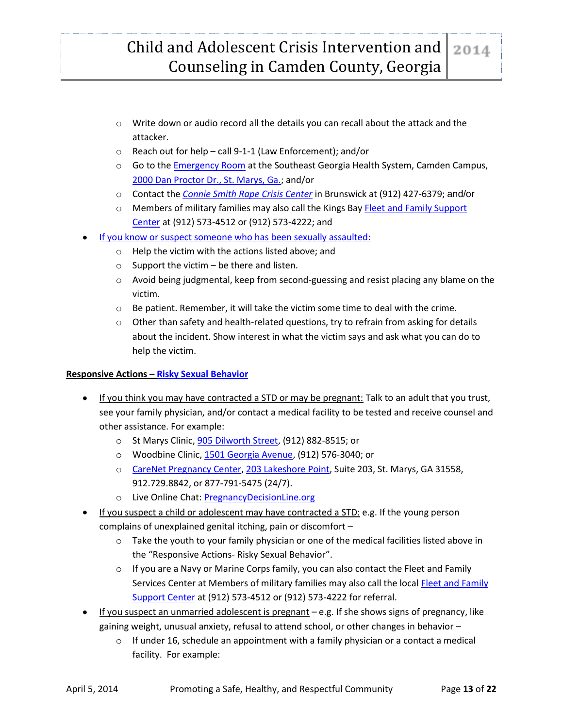# Child and Adolescent Crisis Intervention and Counseling in Camden County, Georgia

- $\circ$  Write down or audio record all the details you can recall about the attack and the attacker.
- o Reach out for help call 9-1-1 (Law Enforcement); and/or
- Go to the *Emergency Room* at the Southeast Georgia Health System, Camden Campus, [2000 Dan Proctor Dr., St. Marys, Ga.;](https://maps.google.com/maps?f=d&hl=en&geocode=&daddr=2000+Dan+Proctor+Dr.+St.+Marys+GA+31558&ie=UTF8&z=7) and/or
- o Contact the *Connie [Smith Rape Crisis Center](http://gnesa.org/content/connie-smith-rape-crisis-center)* in Brunswick at (912) 427-6379; and/or
- $\circ$  Members of military families may also call the Kings Bay Fleet and Family Support [Center](http://www.cnic.navy.mil/regions/cnrse/installations/navsubbase_kings_bay/ffr/support_services/counseling_and_assistance.html) at (912) 573-4512 or (912) 573-4222; and
- [If you know or suspect someone who has been sexually assaulted:](https://www.womenshealth.gov/publications/our-publications/fact-sheet/sexual-assault.html#e)
	- o Help the victim with the actions listed above; and
	- $\circ$  Support the victim be there and listen.
	- $\circ$  Avoid being judgmental, keep from second-guessing and resist placing any blame on the victim.
	- o Be patient. Remember, it will take the victim some time to deal with the crime.
	- $\circ$  Other than safety and health-related questions, try to refrain from asking for details about the incident. Show interest in what the victim says and ask what you can do to help the victim.

#### **Responsive Actions – [Risky Sexual Behavior](http://www.hhs.gov/ash/oah/resources-and-publications/info/parents/just-facts/adolescent-sex.html)**

- **If you think you may have contracted a STD or may be pregnant:** Talk to an adult that you trust, see your family physician, and/or contact a medical facility to be tested and receive counsel and other assistance. For example:
	- o St Marys Clinic[, 905 Dilworth Street,](https://maps.google.com/maps?ie=UTF-8&q=Camden+County+Health+Department&fb=1&gl=us&hq=St+Marys+Clinic,+905+Dilworth+Street&cid=17137336674506562662&ei=VowaU5XyE-jn0wGVyoDACg&ved=0CHwQ_BIwCg) (912) 882-8515; or
	- o Woodbine Clinic, [1501 Georgia Avenue,](https://maps.google.com/maps?ie=UTF-8&q=Camden+County+Health+Department&fb=1&gl=us&hq=St+Marys+Clinic,+905+Dilworth+Street&cid=17137336674506562662&ei=VowaU5XyE-jn0wGVyoDACg&ved=0CHwQ_BIwCg) (912) 576-3040; or
	- o [CareNet Pregnancy Center,](http://coastalcarenet.org/) [203 Lakeshore Point,](https://maps.google.com/maps?ie=UTF-8&q=Camden+County+Health+Department&fb=1&gl=us&hq=St+Marys+Clinic,+905+Dilworth+Street&cid=17137336674506562662&ei=VowaU5XyE-jn0wGVyoDACg&ved=0CHwQ_BIwCg) Suite 203, St. Marys, GA 31558, 912.729.8842, or 877-791-5475 (24/7).
	- o Live Online Chat: [PregnancyDecisionLine.org](http://pregnancydecisionline.org/)
- If you suspect a child or adolescent may have contracted a STD: e.g. If the young person complains of unexplained genital itching, pain or discomfort –
	- o Take the youth to your family physician or one of the medical facilities listed above in the "Responsive Actions- Risky Sexual Behavior".
	- $\circ$  If you are a Navy or Marine Corps family, you can also contact the Fleet and Family Services Center at Members of military families may also call the local [Fleet and Family](http://www.cnic.navy.mil/regions/cnrse/installations/navsubbase_kings_bay/ffr/support_services/counseling_and_assistance.html)  [Support Center](http://www.cnic.navy.mil/regions/cnrse/installations/navsubbase_kings_bay/ffr/support_services/counseling_and_assistance.html) at (912) 573-4512 or (912) 573-4222 for referral.
- If you suspect an unmarried adolescent is pregnant  $-e.g.$  If she shows signs of pregnancy, like gaining weight, unusual anxiety, refusal to attend school, or other changes in behavior –
	- $\circ$  If under 16, schedule an appointment with a family physician or a contact a medical facility. For example: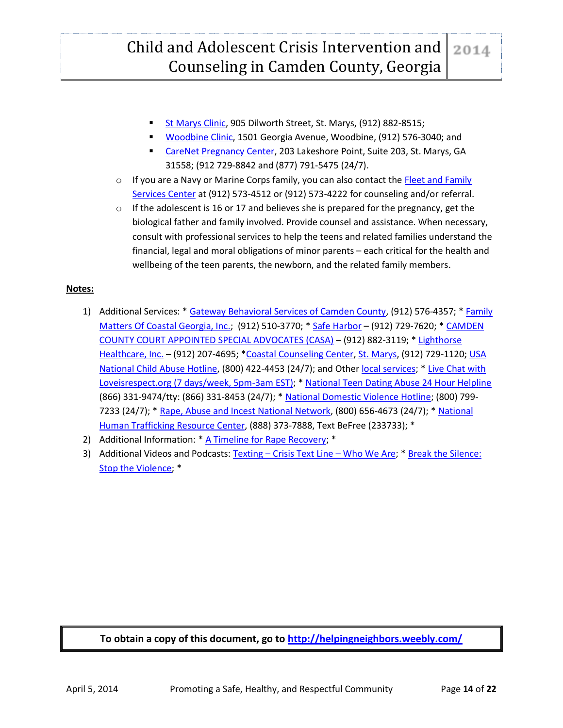# Child and Adolescent Crisis Intervention and Counseling in Camden County, Georgia

- [St Marys Clinic,](http://www.gachd.org/counties/camden_county_health_departmen.php) 905 Dilworth Street, St. Marys, (912) 882-8515;
- [Woodbine Clinic,](http://www.gachd.org/counties/camden_county_health_departmen.php) 1501 Georgia Avenue, Woodbine, (912) 576-3040; and
- [CareNet Pregnancy Center,](http://coastalcarenet.org/) 203 Lakeshore Point, Suite 203, St. Marys, GA 31558; (912 729-8842 and (877) 791-5475 (24/7).
- $\circ$  If you are a Navy or Marine Corps family, you can also contact the Fleet and Family [Services Center](http://www.cnic.navy.mil/regions/cnrse/installations/navsubbase_kings_bay/ffr/support_services/counseling_and_assistance.html) at (912) 573-4512 or (912) 573-4222 for counseling and/or referral.
- $\circ$  If the adolescent is 16 or 17 and believes she is prepared for the pregnancy, get the biological father and family involved. Provide counsel and assistance. When necessary, consult with professional services to help the teens and related families understand the financial, legal and moral obligations of minor parents – each critical for the health and wellbeing of the teen parents, the newborn, and the related family members.

#### **Notes:**

- 1) Additional Services: \* [Gateway Behavioral Services of Camden County,](http://www.gatewaybhs.org/CountyCamden.htm) (912) 576-4357; \* Family [Matters Of Coastal Georgia, Inc.;](http://www.familymattersofcoastalga.org/) (912) 510-3770; \* [Safe Harbor](http://www.safeharborcenterinc.org/services/) – (912) 729-7620; \* CAMDEN [COUNTY COURT APPOINTED SPECIAL ADVOCATES \(CASA\)](http://www.camdencountycasa.org/index.html) – (912) 882-3119; \* [Lighthorse](http://www.lighthorse.org/service/behavioral-healthcare/)  [Healthcare, Inc.](http://www.lighthorse.org/service/behavioral-healthcare/) – (912) 207-4695; [\\*Coastal Counseling Center,](http://www.coastalcounselingcenter.org/) [St. Marys,](https://maps.google.com/maps?q=104+Lakeshore+Drive,+St+Marys,+Georgia&ie=UTF-8&hq=&hnear=0x88e5028b392029c7:0xab0dbe6b4b1fb5e7,Lakeshore+Dr,+St+Marys,+GA+31558&gl=us&ei=2-AYU67FLOjg0gHHvYHQDg&ved=0CCQQ8gEwAA) (912) 729-1120; [USA](http://www.childhelp.org/pages/hotline-home)  [National Child Abuse Hotline,](http://www.childhelp.org/pages/hotline-home) (800) 422-4453 (24/7); and Other [local services;](http://therapists.psychologytoday.com/rms/county/GA/Camden.html) [\\* Live Chat with](http://www.loveisrespect.org/)  [Loveisrespect.org \(7 days/week, 5pm-3am EST\);](http://www.loveisrespect.org/) \* [National Teen Dating Abuse 24 Hour Helpline](http://www.loveisrespect.org/) (866) 331-9474/tty: (866) 331-8453 (24/7); \* [National Domestic Violence Hotline;](http://www.thehotline.org/) (800) 799- 7233 (24/7); \* [Rape, Abuse and Incest National Network,](http://www.rainn.org/) (800) 656-4673 (24/7); [\\* National](http://www.polarisproject.org/what-we-do/national-human-trafficking-hotline/the-nhtrc/overview)  [Human Trafficking Resource Center,](http://www.polarisproject.org/what-we-do/national-human-trafficking-hotline/the-nhtrc/overview) (888) 373-7888, Text BeFree (233733); \*
- 2) Additional Information: \* [A Timeline for Rape Recovery;](http://www.recoveryranch.com/articles/trauma-and-ptsd-articles/rape-recovery/) \*
- 3) Additional Videos and Podcasts: Texting [Crisis Text Line](http://www.crisistextline.org/who-we-are?)  Who We Are; \* Break the Silence: [Stop the Violence;](http://www.cdc.gov/CDCTV/BreakTheSilence/) \*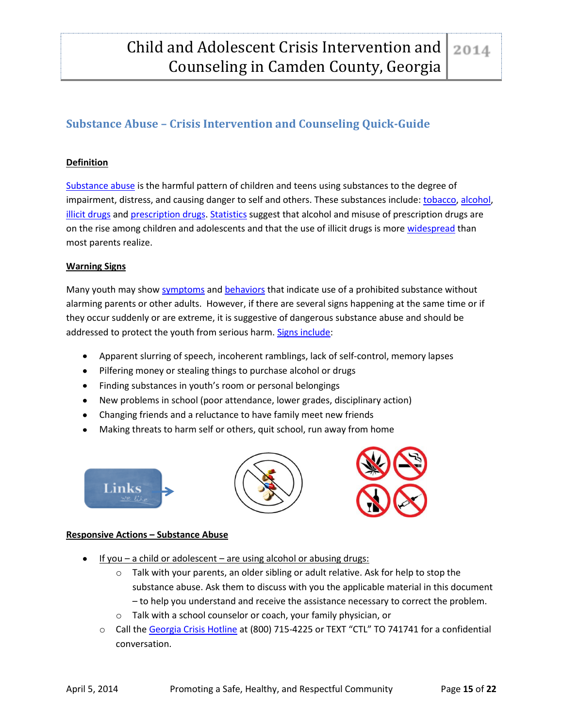## <span id="page-15-0"></span>**Substance Abuse – Crisis Intervention and Counseling Quick-Guide**

#### **Definition**

[Substance abuse](https://www.aamft.org/imis15/content/consumer_updates/adolescent_substance_abuse.aspx) is the harmful pattern of children and teens using substances to the degree of impairment, distress, and causing danger to self and others. These substances include: [tobacco,](http://www.fda.gov/tobaccoproducts/protectingkidsfromtobacco/default.htm) [alcohol,](http://pubs.niaaa.nih.gov/publications/AA67/AA67.htm) [illicit drugs](http://www.childtrends.org/wp-content/uploads/2013/09/Illicit-drug-use-Highlight-9.13.pdf) and [prescription drugs.](http://www.fda.gov/forconsumers/consumerupdates/ucm220112.htm) [Statistics](http://www.drugabuse.gov/related-topics/trends-statistics) suggest that alcohol and misuse of prescription drugs are on the rise among children and adolescents and that the use of illicit drugs is more [widespread](http://www.samhsa.gov/newsroom/advisories/1308285320.aspx) than most parents realize.

#### **Warning Signs**

Many youth may show [symptoms](http://www.medicinenet.com/teen_drug_abuse/page4.htm#what_are_the_symptoms_and_warning_signs_of_drug_abuse) an[d behaviors](http://www.drugabuse.gov/publications/science-addiction) that indicate use of a prohibited substance without alarming parents or other adults. However, if there are several signs happening at the same time or if they occur suddenly or are extreme, it is suggestive of dangerous substance abuse and should be addressed to protect the youth from serious harm[. Signs include:](http://www.focusonthefamily.com/parenting/parenting_challenges/kids-and-substance-abuse/stages-and-warning-signs-of-substance-abuse.aspx)

- Apparent slurring of speech, incoherent ramblings, lack of self-control, memory lapses  $\bullet$
- Pilfering money or stealing things to purchase alcohol or drugs
- Finding substances in youth's room or personal belongings
- New problems in school (poor attendance, lower grades, disciplinary action)
- Changing friends and a reluctance to have family meet new friends
- Making threats to harm self or others, quit school, run away from home







#### **Responsive Actions – Substance Abuse**

- If you a child or adolescent are using alcohol or abusing drugs:
	- $\circ$  Talk with your parents, an older sibling or adult relative. Ask for help to stop the substance abuse. Ask them to discuss with you the applicable material in this document – to help you understand and receive the assistance necessary to correct the problem.
	- o Talk with a school counselor or coach, your family physician, or
	- o Call the [Georgia Crisis Hotline](http://www.crisistextline.org/textline/?gclid=CJvIttKcg70CFS9p7Aodr2gAHQ) at (800) 715-4225 or TEXT "CTL" TO 741741 for a confidential conversation.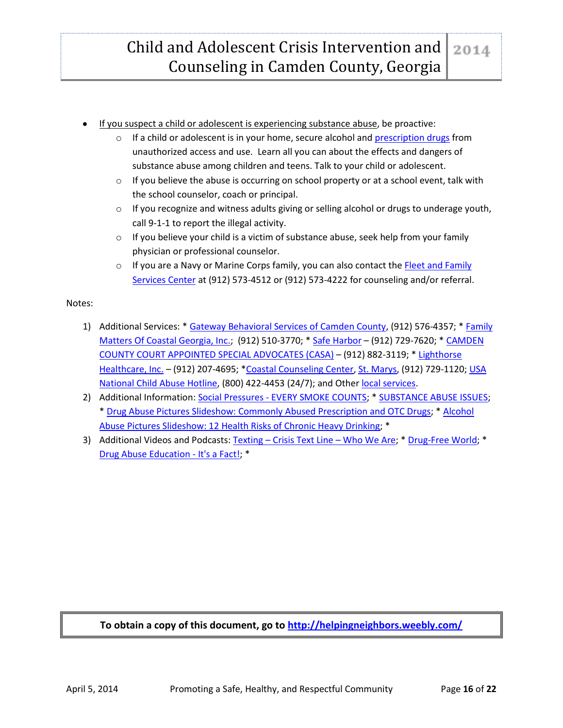Child and Adolescent Crisis Intervention and Counseling in Camden County, Georgia

- If you suspect a child or adolescent is experiencing substance abuse, be proactive:
	- $\circ$  If a child or adolescent is in your home, secure alcohol an[d prescription drugs](http://www.fda.gov/downloads/forconsumers/consumerupdates/ucm048796.pdf) from unauthorized access and use. Learn all you can about the effects and dangers of substance abuse among children and teens. Talk to your child or adolescent.
	- $\circ$  If you believe the abuse is occurring on school property or at a school event, talk with the school counselor, coach or principal.
	- $\circ$  If you recognize and witness adults giving or selling alcohol or drugs to underage youth, call 9-1-1 to report the illegal activity.
	- $\circ$  If you believe your child is a victim of substance abuse, seek help from your family physician or professional counselor.
	- $\circ$  If you are a Navy or Marine Corps family, you can also contact the [Fleet and Family](http://www.cnic.navy.mil/regions/cnrse/installations/navsubbase_kings_bay/ffr/support_services/counseling_and_assistance.html) [Services Center](http://www.cnic.navy.mil/regions/cnrse/installations/navsubbase_kings_bay/ffr/support_services/counseling_and_assistance.html) at (912) 573-4512 or (912) 573-4222 for counseling and/or referral.

#### Notes:

- 1) Additional Services: \* [Gateway Behavioral Services of Camden County,](http://www.gatewaybhs.org/CountyCamden.htm) (912) 576-4357; [\\* Family](http://www.familymattersofcoastalga.org/)  [Matters Of Coastal Georgia, Inc.;](http://www.familymattersofcoastalga.org/) (912) 510-3770; \* [Safe Harbor](http://www.safeharborcenterinc.org/services/) - (912) 729-7620; \* CAMDEN [COUNTY COURT APPOINTED SPECIAL ADVOCATES \(CASA\)](http://www.camdencountycasa.org/index.html) – (912) 882-3119; \* [Lighthorse](http://www.lighthorse.org/service/behavioral-healthcare/)  [Healthcare, Inc.](http://www.lighthorse.org/service/behavioral-healthcare/) - (912) 207-4695; [\\*Coastal Counseling Center,](http://www.coastalcounselingcenter.org/) [St. Marys,](https://maps.google.com/maps?q=104+Lakeshore+Drive,+St+Marys,+Georgia&ie=UTF-8&hq=&hnear=0x88e5028b392029c7:0xab0dbe6b4b1fb5e7,Lakeshore+Dr,+St+Marys,+GA+31558&gl=us&ei=2-AYU67FLOjg0gHHvYHQDg&ved=0CCQQ8gEwAA) (912) 729-1120; USA [National Child Abuse Hotline,](http://www.childhelp.org/pages/hotline-home) (800) 422-4453 (24/7); and Other [local services.](http://therapists.psychologytoday.com/rms/county/GA/Camden.html)
- 2) Additional Information: Social Pressures [EVERY SMOKE COUNTS;](http://therealcost.betobaccofree.hhs.gov/decisions/how-to-deal/social-pressures/index.html?gclid=CNee1vKa_rwCFRFnOgodYhcAJw) \* [SUBSTANCE ABUSE ISSUES;](http://aids.gov/hiv-aids-basics/staying-healthy-with-hiv-aids/taking-care-of-yourself/substance-abuse-issues/) \* [Drug Abuse Pictures Slideshow: Commonly Abused Prescription and OTC Drugs;](http://www.medicinenet.com/drug_abuse_pictures_slideshow_otc_prescription/article.htm) \* [Alcohol](http://www.medicinenet.com/alcohol_abuse_health_risks_pictures_slideshow/article.htm)  [Abuse Pictures Slideshow: 12 Health Risks of Chronic Heavy Drinking;](http://www.medicinenet.com/alcohol_abuse_health_risks_pictures_slideshow/article.htm) \*
- 3) Additional Videos and Podcasts: Texting [Crisis Text Line](http://www.crisistextline.org/who-we-are?)  Who We Are; [\\* Drug-Free World;](http://www.drugfreeworld.org/real-life-stories.html) \* [Drug Abuse Education -](http://www.youtube.com/watch?v=gP-hx9qPZiU) It's a Fact!; \*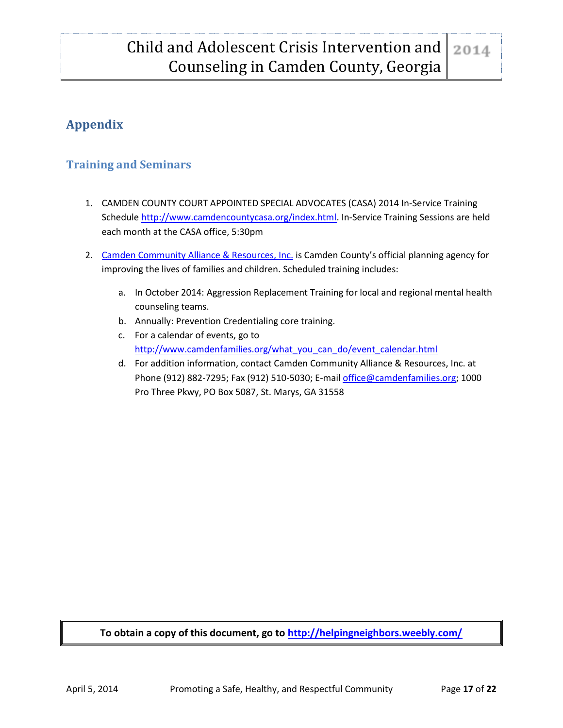# <span id="page-17-0"></span>**Appendix**

## <span id="page-17-1"></span>**Training and Seminars**

- 1. CAMDEN COUNTY COURT APPOINTED SPECIAL ADVOCATES (CASA) 2014 In-Service Training Schedul[e http://www.camdencountycasa.org/index.html.](http://www.camdencountycasa.org/index.html) In-Service Training Sessions are held each month at the CASA office, 5:30pm
- 2. [Camden Community Alliance & Resources, Inc.](http://www.camdenfamilies.org/) is Camden County's official planning agency for improving the lives of families and children. Scheduled training includes:
	- a. In October 2014: Aggression Replacement Training for local and regional mental health counseling teams.
	- b. Annually: Prevention Credentialing core training.
	- c. For a calendar of events, go to [http://www.camdenfamilies.org/what\\_you\\_can\\_do/event\\_calendar.html](http://www.camdenfamilies.org/what_you_can_do/event_calendar.html)
	- d. For addition information, contact Camden Community Alliance & Resources, Inc. at Phone (912) 882-7295; Fax (912) 510-5030; E-mail [office@camdenfamilies.org;](mailto:office@camdenfamilies.org) 1000 Pro Three Pkwy, PO Box 5087, St. Marys, GA 31558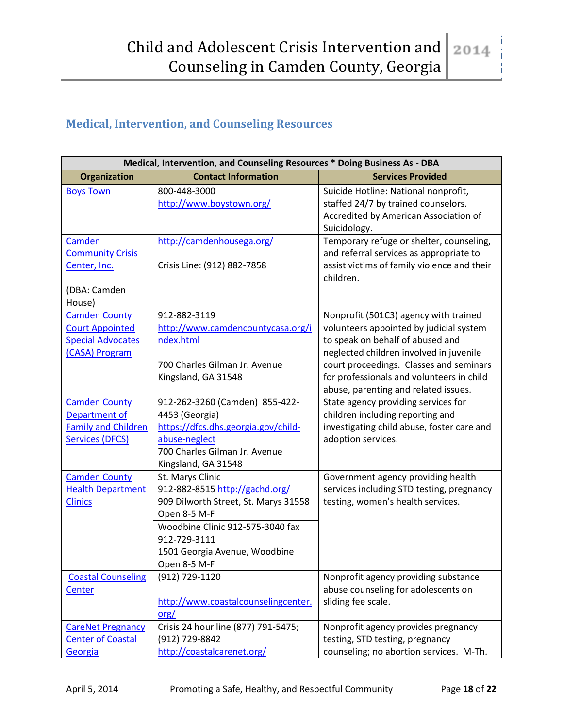# <span id="page-18-0"></span>**Medical, Intervention, and Counseling Resources**

| Medical, Intervention, and Counseling Resources * Doing Business As - DBA                     |                                                                                                                                                                                                                 |                                                                                                                                                                                                                                                                                                 |  |  |
|-----------------------------------------------------------------------------------------------|-----------------------------------------------------------------------------------------------------------------------------------------------------------------------------------------------------------------|-------------------------------------------------------------------------------------------------------------------------------------------------------------------------------------------------------------------------------------------------------------------------------------------------|--|--|
| Organization                                                                                  | <b>Contact Information</b>                                                                                                                                                                                      | <b>Services Provided</b>                                                                                                                                                                                                                                                                        |  |  |
| <b>Boys Town</b>                                                                              | 800-448-3000<br>http://www.boystown.org/                                                                                                                                                                        | Suicide Hotline: National nonprofit,<br>staffed 24/7 by trained counselors.<br>Accredited by American Association of<br>Suicidology.                                                                                                                                                            |  |  |
| Camden<br><b>Community Crisis</b><br>Center, Inc.<br>(DBA: Camden<br>House)                   | http://camdenhousega.org/<br>Crisis Line: (912) 882-7858                                                                                                                                                        | Temporary refuge or shelter, counseling,<br>and referral services as appropriate to<br>assist victims of family violence and their<br>children.                                                                                                                                                 |  |  |
| <b>Camden County</b><br><b>Court Appointed</b><br><b>Special Advocates</b><br>(CASA) Program  | 912-882-3119<br>http://www.camdencountycasa.org/i<br>ndex.html<br>700 Charles Gilman Jr. Avenue<br>Kingsland, GA 31548                                                                                          | Nonprofit (501C3) agency with trained<br>volunteers appointed by judicial system<br>to speak on behalf of abused and<br>neglected children involved in juvenile<br>court proceedings. Classes and seminars<br>for professionals and volunteers in child<br>abuse, parenting and related issues. |  |  |
| <b>Camden County</b><br>Department of<br><b>Family and Children</b><br><b>Services (DFCS)</b> | 912-262-3260 (Camden) 855-422-<br>4453 (Georgia)<br>https://dfcs.dhs.georgia.gov/child-<br>abuse-neglect<br>700 Charles Gilman Jr. Avenue<br>Kingsland, GA 31548                                                | State agency providing services for<br>children including reporting and<br>investigating child abuse, foster care and<br>adoption services.                                                                                                                                                     |  |  |
| <b>Camden County</b><br><b>Health Department</b><br><b>Clinics</b>                            | St. Marys Clinic<br>912-882-8515 http://gachd.org/<br>909 Dilworth Street, St. Marys 31558<br>Open 8-5 M-F<br>Woodbine Clinic 912-575-3040 fax<br>912-729-3111<br>1501 Georgia Avenue, Woodbine<br>Open 8-5 M-F | Government agency providing health<br>services including STD testing, pregnancy<br>testing, women's health services.                                                                                                                                                                            |  |  |
| <b>Coastal Counseling</b><br><b>Center</b>                                                    | (912) 729-1120<br>http://www.coastalcounselingcenter.<br>$org/$                                                                                                                                                 | Nonprofit agency providing substance<br>abuse counseling for adolescents on<br>sliding fee scale.                                                                                                                                                                                               |  |  |
| <b>CareNet Pregnancy</b><br><b>Center of Coastal</b><br>Georgia                               | Crisis 24 hour line (877) 791-5475;<br>(912) 729-8842<br>http://coastalcarenet.org/                                                                                                                             | Nonprofit agency provides pregnancy<br>testing, STD testing, pregnancy<br>counseling; no abortion services. M-Th.                                                                                                                                                                               |  |  |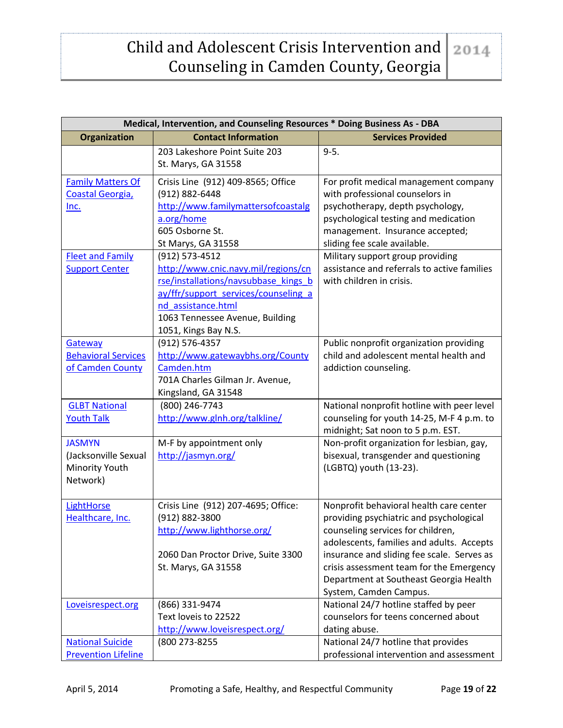## Child and Adolescent Crisis Intervention and 2014 Counseling in Camden County, Georgia

| Medical, Intervention, and Counseling Resources * Doing Business As - DBA |                                      |                                             |  |  |
|---------------------------------------------------------------------------|--------------------------------------|---------------------------------------------|--|--|
| Organization                                                              | <b>Contact Information</b>           | <b>Services Provided</b>                    |  |  |
|                                                                           | 203 Lakeshore Point Suite 203        | $9 - 5.$                                    |  |  |
|                                                                           | St. Marys, GA 31558                  |                                             |  |  |
| <b>Family Matters Of</b>                                                  | Crisis Line (912) 409-8565; Office   | For profit medical management company       |  |  |
| Coastal Georgia,                                                          | (912) 882-6448                       | with professional counselors in             |  |  |
| Inc.                                                                      | http://www.familymattersofcoastalg   | psychotherapy, depth psychology,            |  |  |
|                                                                           | a.org/home                           | psychological testing and medication        |  |  |
|                                                                           | 605 Osborne St.                      | management. Insurance accepted;             |  |  |
|                                                                           | St Marys, GA 31558                   | sliding fee scale available.                |  |  |
| <b>Fleet and Family</b>                                                   | (912) 573-4512                       | Military support group providing            |  |  |
| <b>Support Center</b>                                                     | http://www.cnic.navy.mil/regions/cn  | assistance and referrals to active families |  |  |
|                                                                           | rse/installations/navsubbase_kings_b | with children in crisis.                    |  |  |
|                                                                           | ay/ffr/support services/counseling a |                                             |  |  |
|                                                                           | nd assistance.html                   |                                             |  |  |
|                                                                           | 1063 Tennessee Avenue, Building      |                                             |  |  |
|                                                                           | 1051, Kings Bay N.S.                 |                                             |  |  |
| Gateway                                                                   | (912) 576-4357                       | Public nonprofit organization providing     |  |  |
| <b>Behavioral Services</b>                                                | http://www.gatewaybhs.org/County     | child and adolescent mental health and      |  |  |
| of Camden County                                                          | Camden.htm                           | addiction counseling.                       |  |  |
|                                                                           | 701A Charles Gilman Jr. Avenue,      |                                             |  |  |
|                                                                           | Kingsland, GA 31548                  |                                             |  |  |
| <b>GLBT National</b>                                                      | (800) 246-7743                       | National nonprofit hotline with peer level  |  |  |
| <b>Youth Talk</b>                                                         | http://www.glnh.org/talkline/        | counseling for youth 14-25, M-F 4 p.m. to   |  |  |
|                                                                           |                                      | midnight; Sat noon to 5 p.m. EST.           |  |  |
| <b>JASMYN</b>                                                             | M-F by appointment only              | Non-profit organization for lesbian, gay,   |  |  |
| (Jacksonville Sexual                                                      | http://jasmyn.org/                   | bisexual, transgender and questioning       |  |  |
| Minority Youth                                                            |                                      | (LGBTQ) youth (13-23).                      |  |  |
| Network)                                                                  |                                      |                                             |  |  |
| LightHorse                                                                | Crisis Line (912) 207-4695; Office:  | Nonprofit behavioral health care center     |  |  |
| Healthcare, Inc.                                                          | (912) 882-3800                       | providing psychiatric and psychological     |  |  |
|                                                                           | http://www.lighthorse.org/           | counseling services for children,           |  |  |
|                                                                           |                                      | adolescents, families and adults. Accepts   |  |  |
|                                                                           | 2060 Dan Proctor Drive, Suite 3300   | insurance and sliding fee scale. Serves as  |  |  |
|                                                                           | St. Marys, GA 31558                  | crisis assessment team for the Emergency    |  |  |
|                                                                           |                                      | Department at Southeast Georgia Health      |  |  |
|                                                                           |                                      | System, Camden Campus.                      |  |  |
| Loveisrespect.org                                                         | (866) 331-9474                       | National 24/7 hotline staffed by peer       |  |  |
|                                                                           | Text loveis to 22522                 | counselors for teens concerned about        |  |  |
|                                                                           | http://www.loveisrespect.org/        | dating abuse.                               |  |  |
| <b>National Suicide</b>                                                   | (800 273-8255                        | National 24/7 hotline that provides         |  |  |
| <b>Prevention Lifeline</b>                                                |                                      | professional intervention and assessment    |  |  |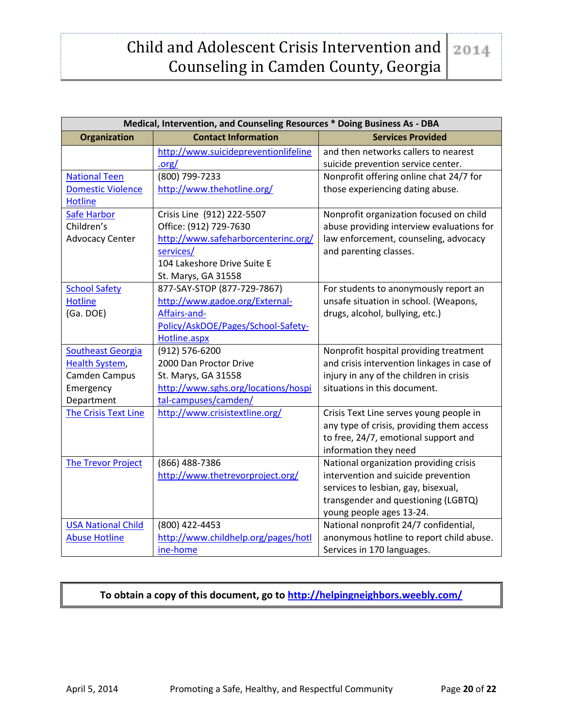#### Child and Adolescent Crisis Intervention and 2014 Counseling in Camden County, Georgia

| Medical, Intervention, and Counseling Resources * Doing Business As - DBA |                                      |                                             |  |  |
|---------------------------------------------------------------------------|--------------------------------------|---------------------------------------------|--|--|
| <b>Organization</b>                                                       | <b>Contact Information</b>           | <b>Services Provided</b>                    |  |  |
|                                                                           | http://www.suicidepreventionlifeline | and then networks callers to nearest        |  |  |
|                                                                           | .org/                                | suicide prevention service center.          |  |  |
| <b>National Teen</b>                                                      | (800) 799-7233                       | Nonprofit offering online chat 24/7 for     |  |  |
| <b>Domestic Violence</b>                                                  | http://www.thehotline.org/           | those experiencing dating abuse.            |  |  |
| <b>Hotline</b>                                                            |                                      |                                             |  |  |
| <b>Safe Harbor</b>                                                        | Crisis Line (912) 222-5507           | Nonprofit organization focused on child     |  |  |
| Children's                                                                | Office: (912) 729-7630               | abuse providing interview evaluations for   |  |  |
| <b>Advocacy Center</b>                                                    | http://www.safeharborcenterinc.org/  | law enforcement, counseling, advocacy       |  |  |
|                                                                           | services/                            | and parenting classes.                      |  |  |
|                                                                           | 104 Lakeshore Drive Suite E          |                                             |  |  |
|                                                                           | St. Marys, GA 31558                  |                                             |  |  |
| <b>School Safety</b>                                                      | 877-SAY-STOP (877-729-7867)          | For students to anonymously report an       |  |  |
| <b>Hotline</b>                                                            | http://www.gadoe.org/External-       | unsafe situation in school. (Weapons,       |  |  |
| (Ga. DOE)                                                                 | Affairs-and-                         | drugs, alcohol, bullying, etc.)             |  |  |
|                                                                           | Policy/AskDOE/Pages/School-Safety-   |                                             |  |  |
|                                                                           | Hotline.aspx                         |                                             |  |  |
| <b>Southeast Georgia</b>                                                  | (912) 576-6200                       | Nonprofit hospital providing treatment      |  |  |
| <b>Health System,</b>                                                     | 2000 Dan Proctor Drive               | and crisis intervention linkages in case of |  |  |
| Camden Campus                                                             | St. Marys, GA 31558                  | injury in any of the children in crisis     |  |  |
| Emergency                                                                 | http://www.sghs.org/locations/hospi  | situations in this document.                |  |  |
| Department                                                                | tal-campuses/camden/                 |                                             |  |  |
| <b>The Crisis Text Line</b>                                               | http://www.crisistextline.org/       | Crisis Text Line serves young people in     |  |  |
|                                                                           |                                      | any type of crisis, providing them access   |  |  |
|                                                                           |                                      | to free, 24/7, emotional support and        |  |  |
|                                                                           |                                      | information they need                       |  |  |
| <b>The Trevor Project</b>                                                 | (866) 488-7386                       | National organization providing crisis      |  |  |
|                                                                           | http://www.thetrevorproject.org/     | intervention and suicide prevention         |  |  |
|                                                                           |                                      | services to lesbian, gay, bisexual,         |  |  |
|                                                                           |                                      | transgender and questioning (LGBTQ)         |  |  |
|                                                                           |                                      | young people ages 13-24.                    |  |  |
| <b>USA National Child</b>                                                 | (800) 422-4453                       | National nonprofit 24/7 confidential,       |  |  |
| <b>Abuse Hotline</b>                                                      | http://www.childhelp.org/pages/hotl  | anonymous hotline to report child abuse.    |  |  |
|                                                                           | ine-home                             | Services in 170 languages.                  |  |  |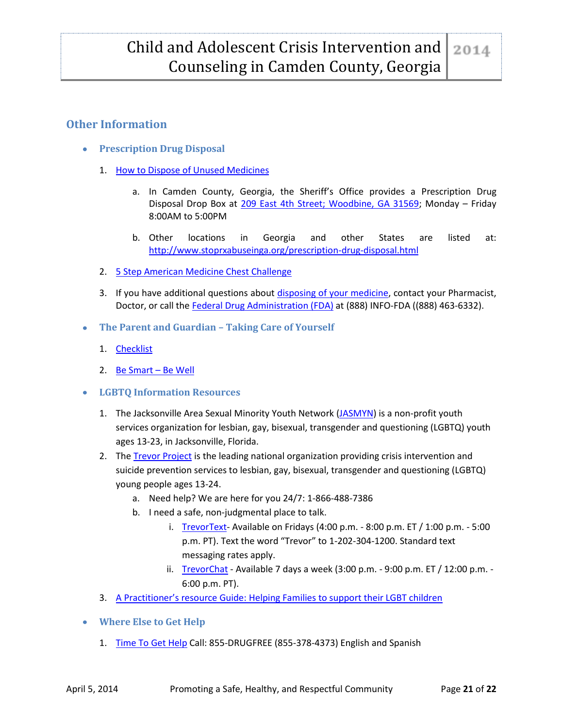## <span id="page-21-1"></span><span id="page-21-0"></span>**Other Information**

- **Prescription Drug Disposal**
	- 1. [How to Dispose of Unused Medicines](http://www.fda.gov/forconsumers/consumerupdates/ucm101653.htm)
		- a. In Camden County, Georgia, the Sheriff's Office provides a Prescription Drug Disposal Drop Box at [209 East 4th Street; Woodbine, GA 31569;](https://maps.google.com/maps?q=209+East+4th+Street%3B+Woodbine,+GA+31569+map&ie=UTF-8&hq=&hnear=0x88e517bbe196c611:0x1a3a89d624488e30,209+E+4th+St,+Woodbine,+GA+31569&gl=us&ei=kXfoUu-PJOOiyAGVz4D4Ag&ved=0CCQQ8gEwAA) Monday – Friday 8:00AM to 5:00PM
		- b. Other locations in Georgia and other States are listed at: <http://www.stoprxabuseinga.org/prescription-drug-disposal.html>
	- 2. [5 Step American Medicine Chest Challenge](http://www.americanmedicinechest.com/)
	- 3. If you have additional questions about [disposing of your](http://www.fda.gov/drugs/resourcesforyou/consumers/buyingusingmedicinesafely/ensuringsafeuseofmedicine/safedisposalofmedicines/ucm186187.htm) medicine, contact your Pharmacist, Doctor, or call the [Federal Drug Administration \(FDA\)](http://www.fda.gov/drugs/) at (888) INFO-FDA ((888) 463-6332).
- <span id="page-21-2"></span>**The Parent and Guardian – Taking Care of Yourself**
	- 1. [Checklist](http://www.aliveandwelltrainingcenter.org/13_checklist_taking_care_of_yourself.pdf)
	- 2. [Be Smart](http://www.besmartbewell.com/)  Be Well
- <span id="page-21-3"></span>**LGBTQ Information Resources**
	- 1. The Jacksonville Area Sexual Minority Youth Network [\(JASMYN\)](http://jasmyn.org/) is a non-profit youth services organization for lesbian, gay, bisexual, transgender and questioning (LGBTQ) youth ages 13-23, in Jacksonville, Florida.
	- 2. The [Trevor Project](http://www.thetrevorproject.org/) is the leading national organization providing crisis intervention and suicide prevention services to lesbian, gay, bisexual, transgender and questioning (LGBTQ) young people ages 13-24.
		- a. Need help? We are here for you 24/7: 1-866-488-7386
		- b. I need a safe, non-judgmental place to talk.
			- i. [TrevorText-](http://www.thetrevorproject.org/pages/get-help-now#tt) Available on Fridays (4:00 p.m. 8:00 p.m. ET / 1:00 p.m. 5:00 p.m. PT). Text the word "Trevor" to 1-202-304-1200. Standard text messaging rates apply.
			- ii. [TrevorChat](http://www.thetrevorproject.org/pages/get-help-now#tt) Available 7 days a week  $(3:00 \text{ p.m. -} 9:00 \text{ p.m. E}T / 12:00 \text{ p.m. -}$ 6:00 p.m. PT).
	- 3. [A Practitioner's resource Guide: Helping Families to support their LGBT children](http://store.samhsa.gov/shin/content/PEP14-LGBTKIDS/PEP14-LGBTKIDS.pdf)
- <span id="page-21-4"></span>**Where Else to Get Help** 
	- 1. [Time To Get Help](http://timetogethelp.drugfree.org/) Call: 855-DRUGFREE (855-378-4373) English and Spanish